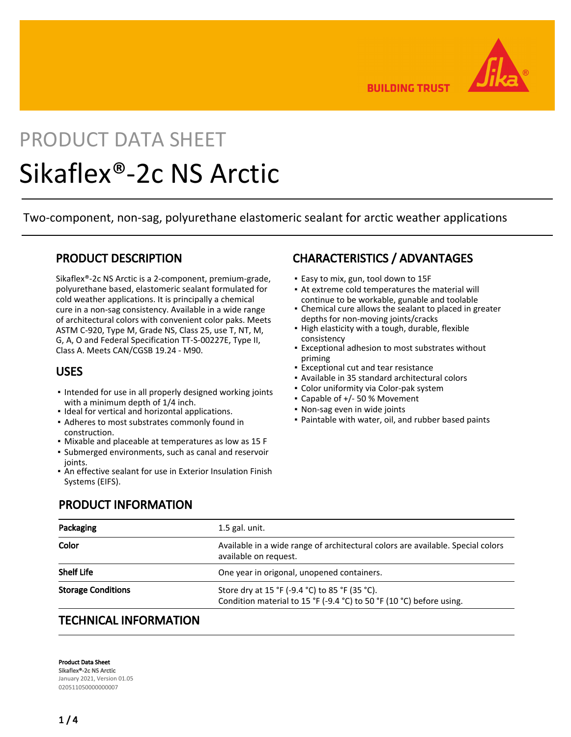**BUILDING TRUST** 

# PRODUCT DATA SHEET Sikaflex®-2c NS Arctic

Two-component, non-sag, polyurethane elastomeric sealant for arctic weather applications

# PRODUCT DESCRIPTION

Sikaflex®-2c NS Arctic is a 2-component, premium-grade, polyurethane based, elastomeric sealant formulated for cold weather applications. It is principally a chemical cure in a non-sag consistency. Available in a wide range of architectural colors with convenient color paks. Meets ASTM C-920, Type M, Grade NS, Class 25, use T, NT, M, G, A, O and Federal Specification TT-S-00227E, Type II, Class A. Meets CAN/CGSB 19.24 - M90.

## USES

- . Intended for use in all properly designed working joints with a minimum depth of 1/4 inch.
- Ideal for vertical and horizontal applications.
- **Adheres to most substrates commonly found in** construction.
- Mixable and placeable at temperatures as low as 15 F
- Submerged environments, such as canal and reservoir ioints.
- An effective sealant for use in Exterior Insulation Finish Systems (EIFS).

# PRODUCT INFORMATION

# CHARACTERISTICS / ADVANTAGES

- Easy to mix, gun, tool down to 15F
- At extreme cold temperatures the material will continue to be workable, gunable and toolable
- Chemical cure allows the sealant to placed in greater depths for non-moving joints/cracks
- . High elasticity with a tough, durable, flexible consistency
- **Exceptional adhesion to most substrates without** priming
- **Exceptional cut and tear resistance**
- Available in 35 standard architectural colors
- Color uniformity via Color-pak system
- Capable of +/- 50 % Movement
- Non-sag even in wide joints
- Paintable with water, oil, and rubber based paints

| Packaging                 | $1.5$ gal. unit.                                                                                                       |  |  |  |  |
|---------------------------|------------------------------------------------------------------------------------------------------------------------|--|--|--|--|
| Color                     | Available in a wide range of architectural colors are available. Special colors<br>available on request.               |  |  |  |  |
| <b>Shelf Life</b>         | One year in origonal, unopened containers.                                                                             |  |  |  |  |
| <b>Storage Conditions</b> | Store dry at 15 °F (-9.4 °C) to 85 °F (35 °C).<br>Condition material to 15 °F (-9.4 °C) to 50 °F (10 °C) before using. |  |  |  |  |

# TECHNICAL INFORMATION

Product Data Sheet Sikaflex®-2c NS Arctic January 2021, Version 01.05 020511050000000007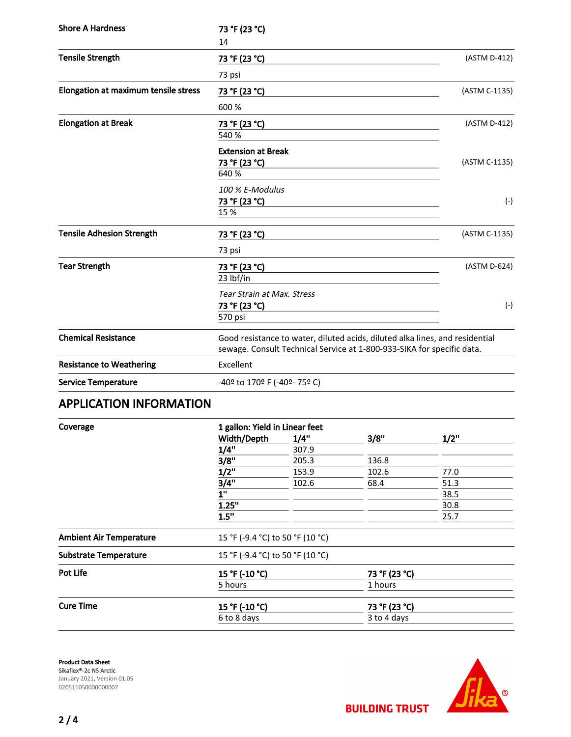| <b>Shore A Hardness</b>              | 73 °F (23 °C)                                                                                                                                          |               |  |
|--------------------------------------|--------------------------------------------------------------------------------------------------------------------------------------------------------|---------------|--|
|                                      | 14                                                                                                                                                     |               |  |
| <b>Tensile Strength</b>              | 73 °F (23 °C)                                                                                                                                          | (ASTM D-412)  |  |
|                                      | 73 psi                                                                                                                                                 |               |  |
| Elongation at maximum tensile stress | 73 °F (23 °C)                                                                                                                                          | (ASTM C-1135) |  |
|                                      | 600 %                                                                                                                                                  |               |  |
| <b>Elongation at Break</b>           | 73 °F (23 °C)                                                                                                                                          | (ASTM D-412)  |  |
|                                      | 540 %                                                                                                                                                  |               |  |
|                                      | <b>Extension at Break</b>                                                                                                                              |               |  |
|                                      | 73 °F (23 °C)                                                                                                                                          | (ASTM C-1135) |  |
|                                      | 640 %                                                                                                                                                  |               |  |
|                                      | 100 % E-Modulus                                                                                                                                        |               |  |
|                                      | 73 °F (23 °C)                                                                                                                                          | $(-)$         |  |
|                                      | 15 %                                                                                                                                                   |               |  |
| <b>Tensile Adhesion Strength</b>     | 73 °F (23 °C)                                                                                                                                          | (ASTM C-1135) |  |
|                                      | 73 psi                                                                                                                                                 |               |  |
| <b>Tear Strength</b>                 | 73 °F (23 °C)                                                                                                                                          | (ASTM D-624)  |  |
|                                      | 23 lbf/in                                                                                                                                              |               |  |
|                                      | <b>Tear Strain at Max. Stress</b>                                                                                                                      |               |  |
|                                      | 73 °F (23 °C)                                                                                                                                          | $(-)$         |  |
|                                      | 570 psi                                                                                                                                                |               |  |
| <b>Chemical Resistance</b>           | Good resistance to water, diluted acids, diluted alka lines, and residential<br>sewage. Consult Technical Service at 1-800-933-SIKA for specific data. |               |  |
| <b>Resistance to Weathering</b>      | Excellent                                                                                                                                              |               |  |
| <b>Service Temperature</b>           | -40º to 170º F (-40º- 75º C)                                                                                                                           |               |  |

# APPLICATION INFORMATION

| Coverage                     | 1 gallon: Yield in Linear feet   |                                  |               |      |      |       |
|------------------------------|----------------------------------|----------------------------------|---------------|------|------|-------|
|                              | Width/Depth                      | 1/4"                             | 3/8"          | 1/2" |      |       |
|                              | 1/4"<br>3/8"                     | 307.9<br>205.3                   | 136.8         |      |      |       |
|                              |                                  |                                  |               |      | 1/2" | 153.9 |
|                              | 3/4"                             | 102.6                            | 68.4          | 51.3 |      |       |
|                              | 1"                               |                                  |               | 38.5 |      |       |
|                              | 1.25"                            |                                  |               | 30.8 |      |       |
|                              | 1.5"                             |                                  |               | 25.7 |      |       |
|                              | <b>Ambient Air Temperature</b>   | 15 °F (-9.4 °C) to 50 °F (10 °C) |               |      |      |       |
| <b>Substrate Temperature</b> | 15 °F (-9.4 °C) to 50 °F (10 °C) |                                  |               |      |      |       |
| <b>Pot Life</b>              | 15 °F (-10 °C)                   |                                  | 73 °F (23 °C) |      |      |       |
|                              | 5 hours                          |                                  | 1 hours       |      |      |       |
| <b>Cure Time</b>             | 15 °F (-10 °C)                   |                                  | 73 °F (23 °C) |      |      |       |
|                              | 6 to 8 days                      |                                  | 3 to 4 days   |      |      |       |
|                              |                                  |                                  |               |      |      |       |

Product Data Sheet Sikaflex®-2c NS Arctic January 2021, Version 01.05 020511050000000007



**BUILDING TRUST**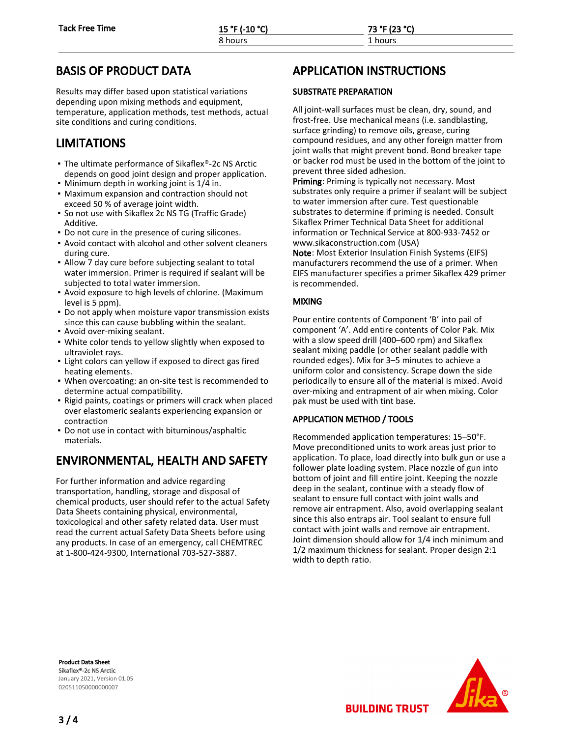# BASIS OF PRODUCT DATA

Results may differ based upon statistical variations depending upon mixing methods and equipment, temperature, application methods, test methods, actual site conditions and curing conditions.

# LIMITATIONS

- The ultimate performance of Sikaflex®-2c NS Arctic depends on good joint design and proper application.
- Minimum depth in working joint is 1/4 in.
- Maximum expansion and contraction should not exceed 50 % of average joint width.
- **•** So not use with Sikaflex 2c NS TG (Traffic Grade) Additive.
- Do not cure in the presence of curing silicones.
- Avoid contact with alcohol and other solvent cleaners during cure.
- Allow 7 day cure before subjecting sealant to total water immersion. Primer is required if sealant will be subjected to total water immersion.
- **Avoid exposure to high levels of chlorine. (Maximum** level is 5 ppm).
- Do not apply when moisture vapor transmission exists since this can cause bubbling within the sealant.
- Avoid over-mixing sealant.
- White color tends to yellow slightly when exposed to ultraviolet rays.
- Light colors can yellow if exposed to direct gas fired heating elements.
- When overcoating: an on-site test is recommended to determine actual compatibility.
- Rigid paints, coatings or primers will crack when placed over elastomeric sealants experiencing expansion or contraction
- Do not use in contact with bituminous/asphaltic materials.

# ENVIRONMENTAL, HEALTH AND SAFETY

For further information and advice regarding transportation, handling, storage and disposal of chemical products, user should refer to the actual Safety Data Sheets containing physical, environmental, toxicological and other safety related data. User must read the current actual Safety Data Sheets before using any products. In case of an emergency, call CHEMTREC at 1-800-424-9300, International 703-527-3887.

# APPLICATION INSTRUCTIONS

### SUBSTRATE PREPARATION

All joint-wall surfaces must be clean, dry, sound, and frost-free. Use mechanical means (i.e. sandblasting, surface grinding) to remove oils, grease, curing compound residues, and any other foreign matter from joint walls that might prevent bond. Bond breaker tape or backer rod must be used in the bottom of the joint to prevent three sided adhesion.

Priming: Priming is typically not necessary. Most substrates only require a primer if sealant will be subject to water immersion after cure. Test questionable substrates to determine if priming is needed. Consult Sikaflex Primer Technical Data Sheet for additional information or Technical Service at 800-933-7452 or www.sikaconstruction.com (USA)

Note: Most Exterior Insulation Finish Systems (EIFS) manufacturers recommend the use of a primer. When EIFS manufacturer specifies a primer Sikaflex 429 primer is recommended.

### MIXING

Pour entire contents of Component 'B' into pail of component 'A'. Add entire contents of Color Pak. Mix with a slow speed drill (400–600 rpm) and Sikaflex sealant mixing paddle (or other sealant paddle with rounded edges). Mix for 3–5 minutes to achieve a uniform color and consistency. Scrape down the side periodically to ensure all of the material is mixed. Avoid over-mixing and entrapment of air when mixing. Color pak must be used with tint base.

### APPLICATION METHOD / TOOLS

Recommended application temperatures: 15–50°F. Move preconditioned units to work areas just prior to application. To place, load directly into bulk gun or use a follower plate loading system. Place nozzle of gun into bottom of joint and fill entire joint. Keeping the nozzle deep in the sealant, continue with a steady flow of sealant to ensure full contact with joint walls and remove air entrapment. Also, avoid overlapping sealant since this also entraps air. Tool sealant to ensure full contact with joint walls and remove air entrapment. Joint dimension should allow for 1/4 inch minimum and 1/2 maximum thickness for sealant. Proper design 2:1 width to depth ratio.

Product Data Sheet Sikaflex®-2c NS Arctic January 2021, Version 01.05 020511050000000007